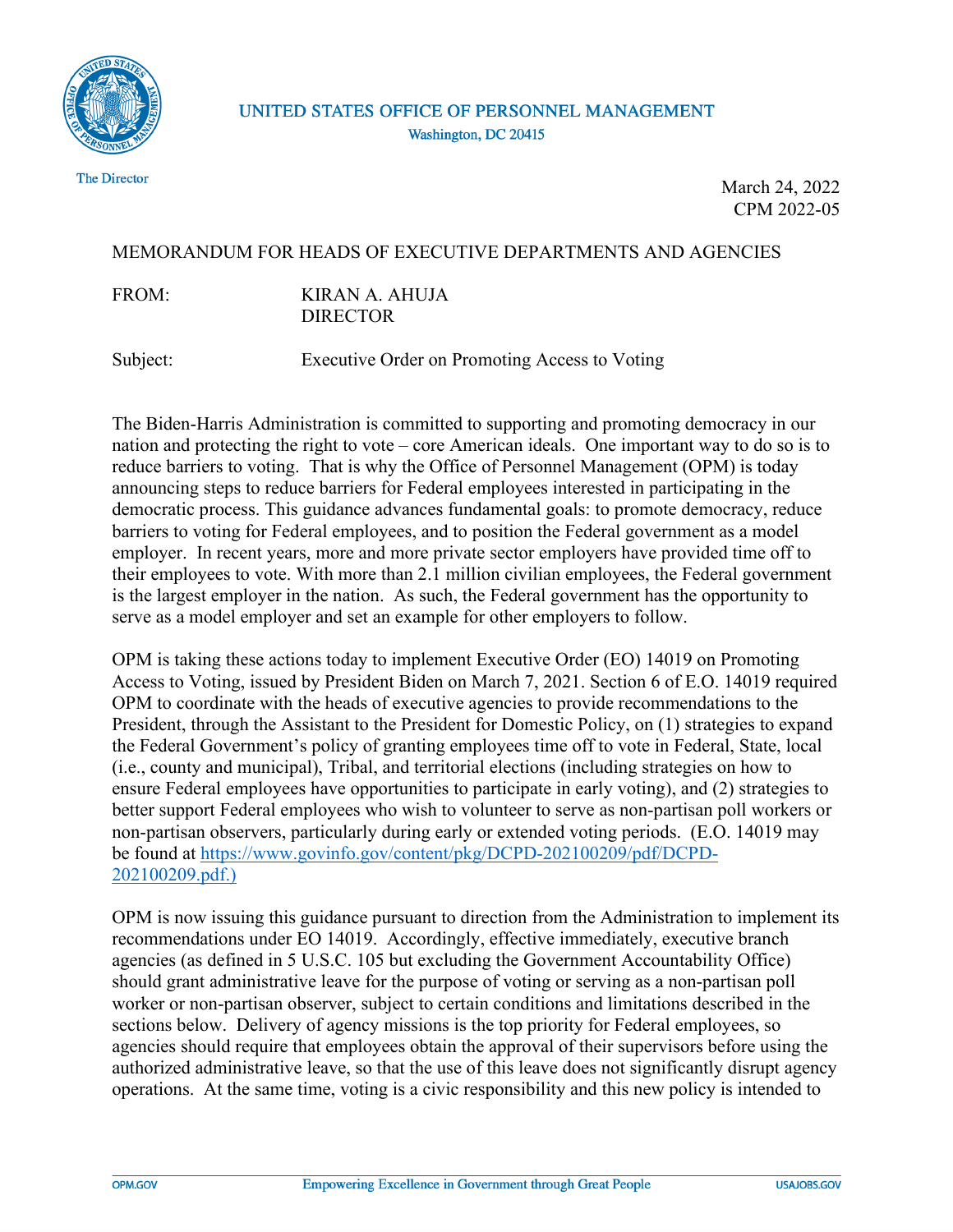

The Director

March 24, 2022 CPM 2022-05

## MEMORANDUM FOR HEADS OF EXECUTIVE DEPARTMENTS AND AGENCIES

FROM: KIRAN A. AHUJA DIRECTOR

Subject: Executive Order on Promoting Access to Voting

The Biden-Harris Administration is committed to supporting and promoting democracy in our nation and protecting the right to vote – core American ideals. One important way to do so is to reduce barriers to voting. That is why the Office of Personnel Management (OPM) is today announcing steps to reduce barriers for Federal employees interested in participating in the democratic process. This guidance advances fundamental goals: to promote democracy, reduce barriers to voting for Federal employees, and to position the Federal government as a model employer. In recent years, more and more private sector employers have provided time off to their employees to vote. With more than 2.1 million civilian employees, the Federal government is the largest employer in the nation. As such, the Federal government has the opportunity to serve as a model employer and set an example for other employers to follow.

OPM is taking these actions today to implement Executive Order (EO) 14019 on Promoting Access to Voting, issued by President Biden on March 7, 2021. Section 6 of E.O. 14019 required OPM to coordinate with the heads of executive agencies to provide recommendations to the President, through the Assistant to the President for Domestic Policy, on (1) strategies to expand the Federal Government's policy of granting employees time off to vote in Federal, State, local (i.e., county and municipal), Tribal, and territorial elections (including strategies on how to ensure Federal employees have opportunities to participate in early voting), and (2) strategies to better support Federal employees who wish to volunteer to serve as non-partisan poll workers or non-partisan observers, particularly during early or extended voting periods. (E.O. 14019 may be found at [https://www.govinfo.gov/content/pkg/DCPD-202100209/pdf/DCPD-](https://www.govinfo.gov/content/pkg/DCPD-202100209/pdf/DCPD-202100209.pdf)[202100209.pdf.\)](https://www.govinfo.gov/content/pkg/DCPD-202100209/pdf/DCPD-202100209.pdf) 

OPM is now issuing this guidance pursuant to direction from the Administration to implement its recommendations under EO 14019. Accordingly, effective immediately, executive branch agencies (as defined in 5 U.S.C. 105 but excluding the Government Accountability Office) should grant administrative leave for the purpose of voting or serving as a non-partisan poll worker or non-partisan observer, subject to certain conditions and limitations described in the sections below. Delivery of agency missions is the top priority for Federal employees, so agencies should require that employees obtain the approval of their supervisors before using the authorized administrative leave, so that the use of this leave does not significantly disrupt agency operations. At the same time, voting is a civic responsibility and this new policy is intended to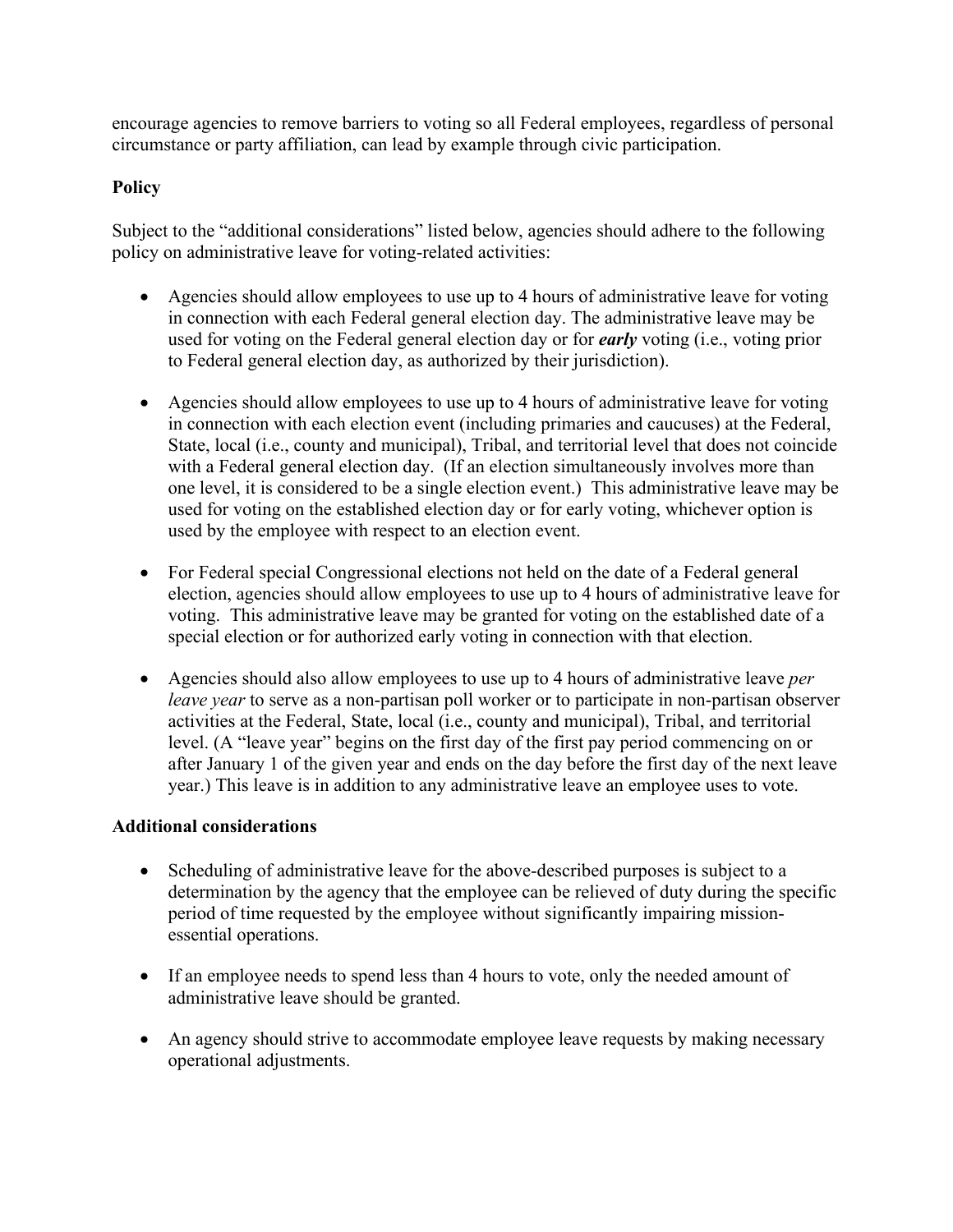encourage agencies to remove barriers to voting so all Federal employees, regardless of personal circumstance or party affiliation, can lead by example through civic participation.

## **Policy**

Subject to the "additional considerations" listed below, agencies should adhere to the following policy on administrative leave for voting-related activities:

- Agencies should allow employees to use up to 4 hours of administrative leave for voting in connection with each Federal general election day. The administrative leave may be used for voting on the Federal general election day or for *early* voting (i.e., voting prior to Federal general election day, as authorized by their jurisdiction).
- Agencies should allow employees to use up to 4 hours of administrative leave for voting in connection with each election event (including primaries and caucuses) at the Federal, State, local (i.e., county and municipal), Tribal, and territorial level that does not coincide with a Federal general election day. (If an election simultaneously involves more than one level, it is considered to be a single election event.) This administrative leave may be used for voting on the established election day or for early voting, whichever option is used by the employee with respect to an election event.
- For Federal special Congressional elections not held on the date of a Federal general election, agencies should allow employees to use up to 4 hours of administrative leave for voting. This administrative leave may be granted for voting on the established date of a special election or for authorized early voting in connection with that election.
- Agencies should also allow employees to use up to 4 hours of administrative leave *per leave year* to serve as a non-partisan poll worker or to participate in non-partisan observer activities at the Federal, State, local (i.e., county and municipal), Tribal, and territorial level. (A "leave year" begins on the first day of the first pay period commencing on or after January 1 of the given year and ends on the day before the first day of the next leave year.) This leave is in addition to any administrative leave an employee uses to vote.

## **Additional considerations**

- Scheduling of administrative leave for the above-described purposes is subject to a determination by the agency that the employee can be relieved of duty during the specific period of time requested by the employee without significantly impairing missionessential operations.
- If an employee needs to spend less than 4 hours to vote, only the needed amount of administrative leave should be granted.
- An agency should strive to accommodate employee leave requests by making necessary operational adjustments.